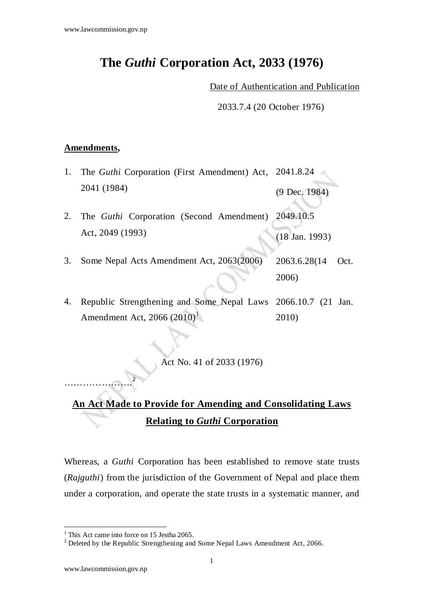# **The** *Guthi* **Corporation Act, 2033 (1976)**

Date of Authentication and Publication

2033.7.4 (20 October 1976)

#### **Amendments,**

- 1. The *Guthi* Corporation (First Amendment) Act, 2041 (1984) 2041.8.24 (9 Dec. 1984)
- 2. The *Guthi* Corporation (Second Amendment) Act, 2049 (1993) 2049.10.5 (18 Jan. 1993)
- 3. Some Nepal Acts Amendment Act, 2063(2006) 2063.6.28(14 Oct. 2006)
- 4. Republic Strengthening and Some Nepal Laws Amendment Act, 2066  $(2010)^1$ 2066.10.7 (21 Jan. 2010)

Act No. 41 of 2033 (1976)

## **An Act Made to Provide for Amending and Consolidating Laws Relating to** *Guthi* **Corporation**

Whereas, a *Guthi* Corporation has been established to remove state trusts (*Rajguthi*) from the jurisdiction of the Government of Nepal and place them under a corporation, and operate the state trusts in a systematic manner, and

 $\overline{a}$ 

………………….

2

<sup>&</sup>lt;sup>1</sup> This Act came into force on 15 Jestha 2065.

<sup>&</sup>lt;sup>2</sup> Deleted by the Republic Strengthening and Some Nepal Laws Amendment Act, 2066.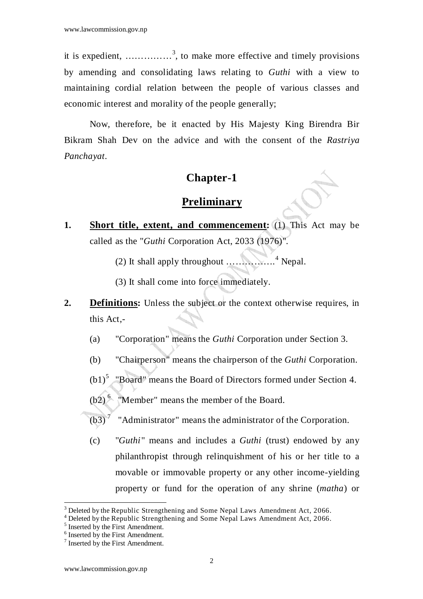it is expedient,  $\ldots$   $\ldots$   $\ldots$   $\ldots$   $\ldots$   $\ldots$   $\ldots$   $\ldots$   $\ldots$   $\ldots$   $\ldots$   $\ldots$   $\ldots$   $\ldots$   $\ldots$   $\ldots$   $\ldots$   $\ldots$   $\ldots$   $\ldots$   $\ldots$   $\ldots$   $\ldots$   $\ldots$   $\ldots$   $\ldots$   $\ldots$   $\ldots$   $\ldots$   $\ldots$   $\ldots$   $\ldots$   $\ldots$   $\ldots$  by amending and consolidating laws relating to *Guthi* with a view to maintaining cordial relation between the people of various classes and economic interest and morality of the people generally;

Now, therefore, be it enacted by His Majesty King Birendra Bir Bikram Shah Dev on the advice and with the consent of the *Rastriya Panchayat*.

### **Chapter-1**

#### **Preliminary**

- **1. Short title, extent, and commencement:** (1) This Act may be called as the "*Guthi* Corporation Act, 2033 (1976)".
- (2) It shall apply throughout …………….<sup>4</sup> Nepal.
	- (3) It shall come into force immediately.
- **2. Definitions:** Unless the subject or the context otherwise requires, in this Act,-
	- (a) "Corporation" means the *Guthi* Corporation under Section 3.
	- (b) "Chairperson" means the chairperson of the *Guthi* Corporation.
	- $(b1)^{5}$ "Board" means the Board of Directors formed under Section 4.
	- $(b2)^6$  "Member" means the member of the Board.
	- $(b3)<sup>7</sup>$  "Administrator" means the administrator of the Corporation.
	- (c) "*Guthi*" means and includes a *Guthi* (trust) endowed by any philanthropist through relinquishment of his or her title to a movable or immovable property or any other income-yielding property or fund for the operation of any shrine (*matha*) or

 $3$  Deleted by the Republic Strengthening and Some Nepal Laws Amendment Act, 2066.

<sup>&</sup>lt;sup>4</sup> Deleted by the Republic Strengthening and Some Nepal Laws Amendment Act, 2066.

<sup>&</sup>lt;sup>5</sup> Inserted by the First Amendment.

<sup>6</sup> Inserted by the First Amendment.

<sup>7</sup> Inserted by the First Amendment.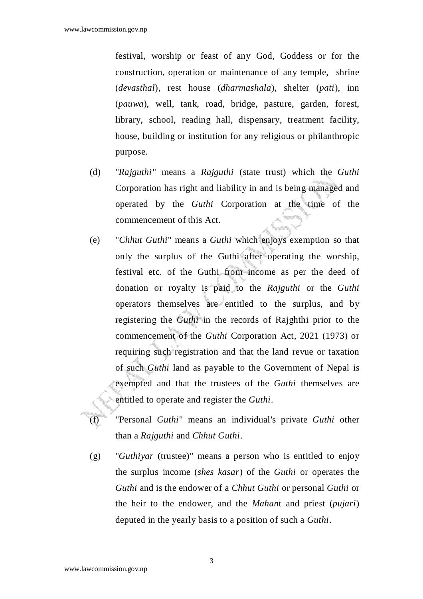festival, worship or feast of any God, Goddess or for the construction, operation or maintenance of any temple, shrine (*devasthal*), rest house (*dharmashala*), shelter (*pati*), inn (*pauwa*), well, tank, road, bridge, pasture, garden, forest, library, school, reading hall, dispensary, treatment facility, house, building or institution for any religious or philanthropic purpose.

- (d) "*Rajguthi*" means a *Rajguthi* (state trust) which the *Guthi*  Corporation has right and liability in and is being managed and operated by the *Guthi* Corporation at the time of the commencement of this Act.
- (e) "*Chhut Guthi*" means a *Guthi* which enjoys exemption so that only the surplus of the Guthi after operating the worship, festival etc. of the Guthi from income as per the deed of donation or royalty is paid to the *Rajguthi* or the *Guthi* operators themselves are entitled to the surplus, and by registering the *Guthi* in the records of Rajghthi prior to the commencement of the *Guthi* Corporation Act, 2021 (1973) or requiring such registration and that the land revue or taxation of such *Guthi* land as payable to the Government of Nepal is exempted and that the trustees of the *Guthi* themselves are entitled to operate and register the *Guthi*.
- (f) "Personal *Guthi*" means an individual's private *Guthi* other than a *Rajguthi* and *Chhut Guthi*.
- (g) "*Guthiyar* (trustee)" means a person who is entitled to enjoy the surplus income (*shes kasar*) of the *Guthi* or operates the *Guthi* and is the endower of a *Chhut Guthi* or personal *Guthi* or the heir to the endower, and the *Mahan*t and priest (*pujari*) deputed in the yearly basis to a position of such a *Guthi*.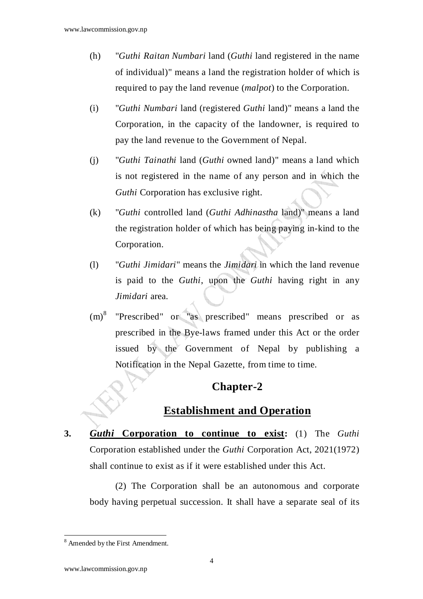- (h) "*Guthi Raitan Numbari* land (*Guthi* land registered in the name of individual)" means a land the registration holder of which is required to pay the land revenue (*malpot*) to the Corporation.
- (i) "*Guthi Numbari* land (registered *Guthi* land)" means a land the Corporation, in the capacity of the landowner, is required to pay the land revenue to the Government of Nepal.
- (j) "*Guthi Tainathi* land (*Guthi* owned land)" means a land which is not registered in the name of any person and in which the *Guthi* Corporation has exclusive right.
- (k) "*Guthi* controlled land (*Guthi Adhinastha* land)" means a land the registration holder of which has being paying in-kind to the Corporation.
- (l) "*Guthi Jimidari*" means the *Jimidari* in which the land revenue is paid to the *Guthi*, upon the *Guthi* having right in any *Jimidari* area.
- $(m)^8$  "Prescribed" or "as prescribed" means prescribed or as prescribed in the Bye-laws framed under this Act or the order issued by the Government of Nepal by publishing a Notification in the Nepal Gazette, from time to time.

#### **Chapter-2**

#### **Establishment and Operation**

**3.** *Guthi* **Corporation to continue to exist:** (1) The *Guthi* Corporation established under the *Guthi* Corporation Act, 2021(1972) shall continue to exist as if it were established under this Act.

(2) The Corporation shall be an autonomous and corporate body having perpetual succession. It shall have a separate seal of its

<sup>8</sup> Amended by the First Amendment.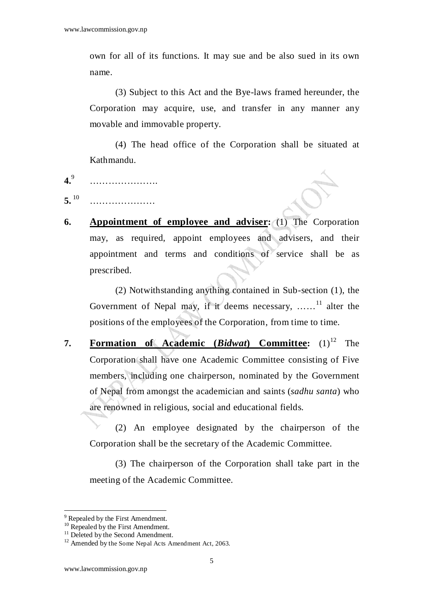own for all of its functions. It may sue and be also sued in its own name.

 (3) Subject to this Act and the Bye-laws framed hereunder, the Corporation may acquire, use, and transfer in any manner any movable and immovable property.

 (4) The head office of the Corporation shall be situated at Kathmandu.

- **4.**9 ……………………………
- **5.** <sup>10</sup> ………………………
- **6. Appointment of employee and adviser:** (1) The Corporation may, as required, appoint employees and advisers, and their appointment and terms and conditions of service shall be as prescribed.

(2) Notwithstanding anything contained in Sub-section (1), the Government of Nepal may, if it deems necessary, ......<sup>11</sup> alter the positions of the employees of the Corporation, from time to time.

**7. Formation of Academic (***Bidwat***) Committee:** (1)<sup>12</sup> The Corporation shall have one Academic Committee consisting of Five members, including one chairperson, nominated by the Government of Nepal from amongst the academician and saints (*sadhu santa*) who are renowned in religious, social and educational fields.

 (2) An employee designated by the chairperson of the Corporation shall be the secretary of the Academic Committee.

 (3) The chairperson of the Corporation shall take part in the meeting of the Academic Committee.

<sup>&</sup>lt;sup>9</sup> Repealed by the First Amendment.

 $10$  Repealed by the First Amendment.

<sup>&</sup>lt;sup>11</sup> Deleted by the Second Amendment.

<sup>&</sup>lt;sup>12</sup> Amended by the Some Nepal Acts Amendment Act, 2063.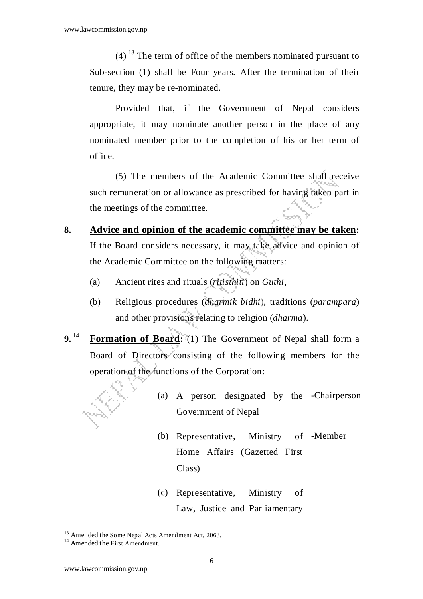$(4)$ <sup>13</sup> The term of office of the members nominated pursuant to Sub-section (1) shall be Four years. After the termination of their tenure, they may be re-nominated.

 Provided that, if the Government of Nepal considers appropriate, it may nominate another person in the place of any nominated member prior to the completion of his or her term of office.

 (5) The members of the Academic Committee shall receive such remuneration or allowance as prescribed for having taken part in the meetings of the committee.

- **8. Advice and opinion of the academic committee may be taken:** If the Board considers necessary, it may take advice and opinion of the Academic Committee on the following matters:
	- (a) Ancient rites and rituals (*ritisthiti*) on *Guthi*,
	- (b) Religious procedures (*dharmik bidhi*), traditions (*parampara*) and other provisions relating to religion (*dharma*).
- **9.**<sup>14</sup> **Formation of Board:** (1) The Government of Nepal shall form a Board of Directors consisting of the following members for the operation of the functions of the Corporation:
	- (a) A person designated by the -Chairperson Government of Nepal
	- $(b)$  Representative, Ministry Home Affairs (Gazetted First Class) -Member
	- (c) Representative, Ministry of Law, Justice and Parliamentary

<sup>&</sup>lt;sup>13</sup> Amended the Some Nepal Acts Amendment Act, 2063.

<sup>&</sup>lt;sup>14</sup> Amended the First Amendment.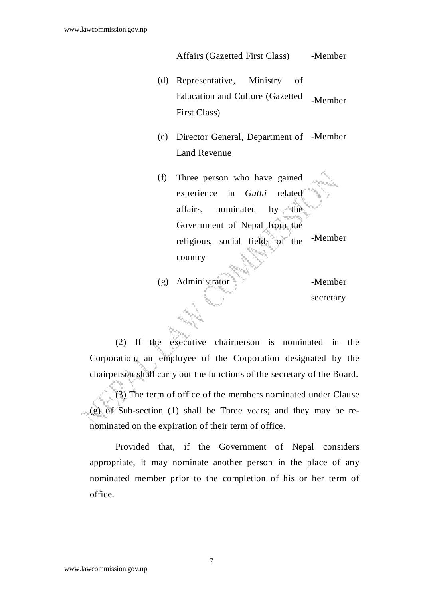Affairs (Gazetted First Class) - Member

- (d) Representative, Ministry of Education and Culture (Gazetted First Class) -Member
- (e) Director General, Department of -Member Land Revenue
- (f) Three person who have gained experience in *Guthi* related affairs, nominated by the Government of Nepal from the religious, social fields of the -Member country
- $(g)$  Administrator  $\blacktriangleright$  -Member secretary

(2) If the executive chairperson is nominated in the Corporation, an employee of the Corporation designated by the chairperson shall carry out the functions of the secretary of the Board.

(3) The term of office of the members nominated under Clause (g) of Sub-section (1) shall be Three years; and they may be renominated on the expiration of their term of office.

Provided that, if the Government of Nepal considers appropriate, it may nominate another person in the place of any nominated member prior to the completion of his or her term of office.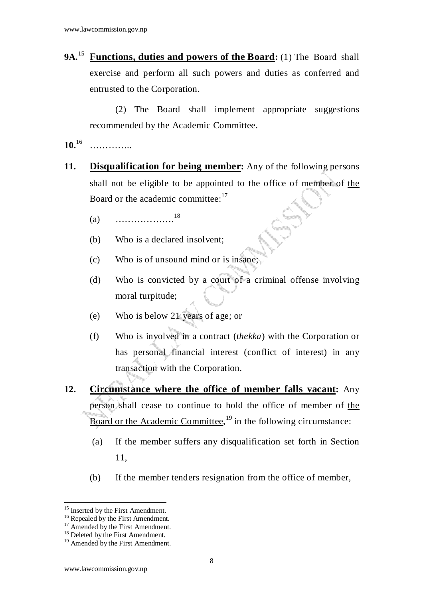9A.<sup>15</sup> **Functions, duties and powers of the Board:** (1) The Board shall exercise and perform all such powers and duties as conferred and entrusted to the Corporation.

(2) The Board shall implement appropriate suggestions recommended by the Academic Committee.

**10.**<sup>16</sup> …………..

- **11. Disqualification for being member:** Any of the following persons shall not be eligible to be appointed to the office of member of the Board or the academic committee:<sup>17</sup>
	- (a)  $\cdots$  18
	- (b) Who is a declared insolvent;
	- (c) Who is of unsound mind or is insane;
	- (d) Who is convicted by a court of a criminal offense involving moral turpitude;
	- (e) Who is below 21 years of age; or
	- (f) Who is involved in a contract (*thekka*) with the Corporation or has personal financial interest (conflict of interest) in any transaction with the Corporation.
- **12. Circumstance where the office of member falls vacant:** Any person shall cease to continue to hold the office of member of the Board or the Academic Committee,<sup>19</sup> in the following circumstance:
	- (a) If the member suffers any disqualification set forth in Section 11,
	- (b) If the member tenders resignation from the office of member,

<sup>&</sup>lt;sup>15</sup> Inserted by the First Amendment.

<sup>&</sup>lt;sup>16</sup> Repealed by the First Amendment.

 $17$  Amended by the First Amendment.

<sup>&</sup>lt;sup>18</sup> Deleted by the First Amendment.

<sup>&</sup>lt;sup>19</sup> Amended by the First Amendment.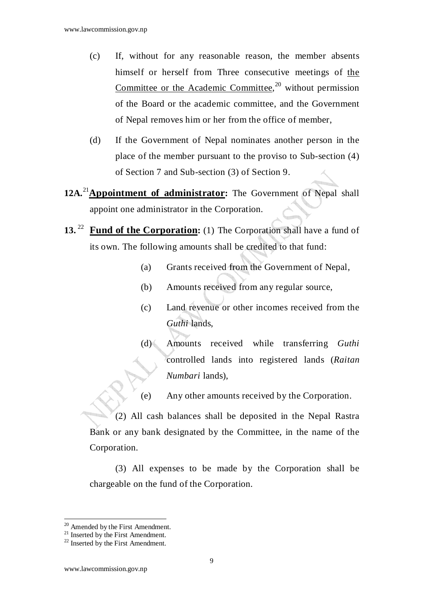- (c) If, without for any reasonable reason, the member absents himself or herself from Three consecutive meetings of the Committee or the Academic Committee,<sup>20</sup> without permission of the Board or the academic committee, and the Government of Nepal removes him or her from the office of member,
- (d) If the Government of Nepal nominates another person in the place of the member pursuant to the proviso to Sub-section (4) of Section 7 and Sub-section (3) of Section 9.
- **12A.**<sup>21</sup>**Appointment of administrator:** The Government of Nepal shall appoint one administrator in the Corporation.
- **13.** <sup>22</sup> **Fund of the Corporation:** (1) The Corporation shall have a fund of its own. The following amounts shall be credited to that fund:
	- (a) Grants received from the Government of Nepal,
	- (b) Amounts received from any regular source,
	- (c) Land revenue or other incomes received from the *Guthi* lands,
	- (d) Amounts received while transferring *Guthi* controlled lands into registered lands (*Raitan Numbari* lands),
	- (e) Any other amounts received by the Corporation.

(2) All cash balances shall be deposited in the Nepal Rastra Bank or any bank designated by the Committee, in the name of the Corporation.

(3) All expenses to be made by the Corporation shall be chargeable on the fund of the Corporation.

 $\overline{a}$ <sup>20</sup> Amended by the First Amendment.

<sup>&</sup>lt;sup>21</sup> Inserted by the First Amendment.

 $22$  Inserted by the First Amendment.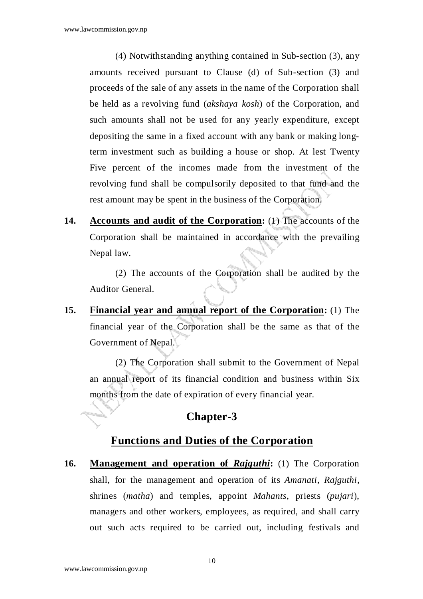(4) Notwithstanding anything contained in Sub-section (3), any amounts received pursuant to Clause (d) of Sub-section (3) and proceeds of the sale of any assets in the name of the Corporation shall be held as a revolving fund (*akshaya kosh*) of the Corporation, and such amounts shall not be used for any yearly expenditure, except depositing the same in a fixed account with any bank or making longterm investment such as building a house or shop. At lest Twenty Five percent of the incomes made from the investment of the revolving fund shall be compulsorily deposited to that fund and the rest amount may be spent in the business of the Corporation.

**14. Accounts and audit of the Corporation:** (1) The accounts of the Corporation shall be maintained in accordance with the prevailing Nepal law.

(2) The accounts of the Corporation shall be audited by the Auditor General.

**15. Financial year and annual report of the Corporation:** (1) The financial year of the Corporation shall be the same as that of the Government of Nepal.

(2) The Corporation shall submit to the Government of Nepal an annual report of its financial condition and business within Six months from the date of expiration of every financial year.

## **Chapter-3**

#### **Functions and Duties of the Corporation**

**16. Management and operation of** *Rajguthi***:** (1) The Corporation shall, for the management and operation of its *Amanati*, *Rajguthi*, shrines (*matha*) and temples, appoint *Mahants*, priests (*pujari*), managers and other workers, employees, as required, and shall carry out such acts required to be carried out, including festivals and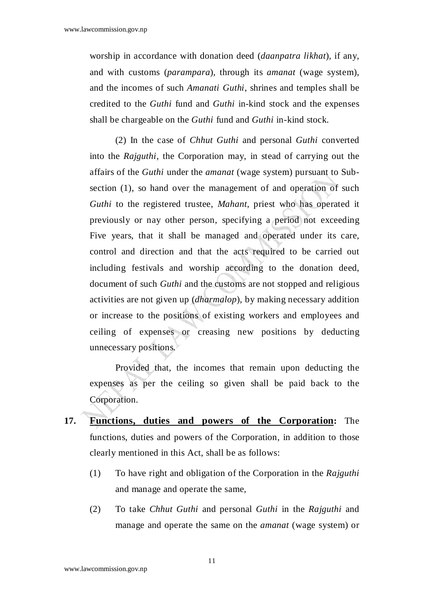worship in accordance with donation deed (*daanpatra likhat*), if any, and with customs (*parampara*), through its *amanat* (wage system), and the incomes of such *Amanati Guthi*, shrines and temples shall be credited to the *Guthi* fund and *Guthi* in-kind stock and the expenses shall be chargeable on the *Guthi* fund and *Guthi* in-kind stock.

(2) In the case of *Chhut Guthi* and personal *Guthi* converted into the *Rajguthi*, the Corporation may, in stead of carrying out the affairs of the *Guthi* under the *amanat* (wage system) pursuant to Subsection (1), so hand over the management of and operation of such *Guthi* to the registered trustee, *Mahant*, priest who has operated it previously or nay other person, specifying a period not exceeding Five years, that it shall be managed and operated under its care, control and direction and that the acts required to be carried out including festivals and worship according to the donation deed, document of such *Guthi* and the customs are not stopped and religious activities are not given up (*dharmalop*), by making necessary addition or increase to the positions of existing workers and employees and ceiling of expenses or creasing new positions by deducting unnecessary positions.

 Provided that, the incomes that remain upon deducting the expenses as per the ceiling so given shall be paid back to the Corporation.

- **17. Functions, duties and powers of the Corporation:** The functions, duties and powers of the Corporation, in addition to those clearly mentioned in this Act, shall be as follows:
	- (1) To have right and obligation of the Corporation in the *Rajguthi* and manage and operate the same,
	- (2) To take *Chhut Guthi* and personal *Guthi* in the *Rajguthi* and manage and operate the same on the *amanat* (wage system) or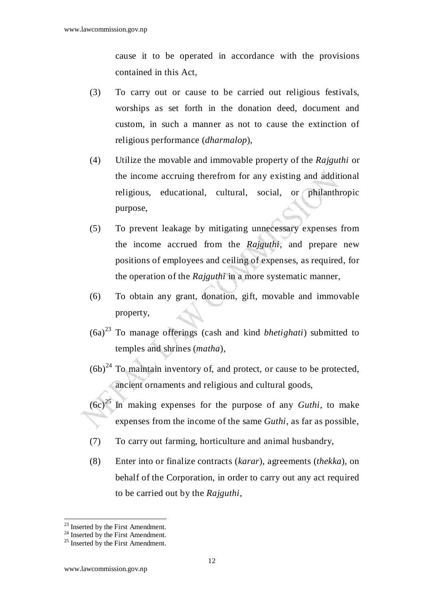cause it to be operated in accordance with the provisions contained in this Act,

- (3) To carry out or cause to be carried out religious festivals, worships as set forth in the donation deed, document and custom, in such a manner as not to cause the extinction of religious performance (*dharmalop*),
- (4) Utilize the movable and immovable property of the *Rajguthi* or the income accruing therefrom for any existing and additional religious, educational, cultural, social, or philanthropic purpose,
- (5) To prevent leakage by mitigating unnecessary expenses from the income accrued from the *Rajguthi*, and prepare new positions of employees and ceiling of expenses, as required, for the operation of the *Rajguthi* in a more systematic manner,
- (6) To obtain any grant, donation, gift, movable and immovable property,
- (6a)<sup>23</sup> To manage offerings (cash and kind *bhetighati*) submitted to temples and shrines (*matha*),
- $(6b)^{24}$  To maintain inventory of, and protect, or cause to be protected, ancient ornaments and religious and cultural goods,
- $(6c)^{25}$  In making expenses for the purpose of any *Guthi*, to make expenses from the income of the same *Guthi,* as far as possible,
- (7) To carry out farming, horticulture and animal husbandry,
- (8) Enter into or finalize contracts (*karar*), agreements (*thekka*), on behalf of the Corporation, in order to carry out any act required to be carried out by the *Rajguthi*,

 $\overline{a}$ <sup>23</sup> Inserted by the First Amendment.

 $24$  Inserted by the First Amendment.

 $^{25}$  Inserted by the First Amendment.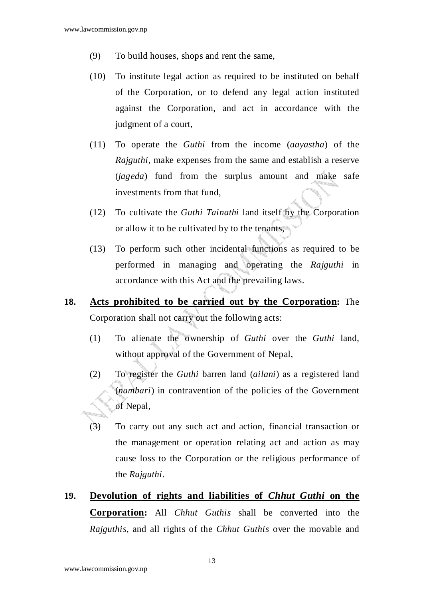- (9) To build houses, shops and rent the same,
- (10) To institute legal action as required to be instituted on behalf of the Corporation, or to defend any legal action instituted against the Corporation, and act in accordance with the judgment of a court,
- (11) To operate the *Guthi* from the income (*aayastha*) of the *Rajguthi*, make expenses from the same and establish a reserve (*jageda*) fund from the surplus amount and make safe investments from that fund,
- (12) To cultivate the *Guthi Tainathi* land itself by the Corporation or allow it to be cultivated by to the tenants,
- (13) To perform such other incidental functions as required to be performed in managing and operating the *Rajguthi* in accordance with this Act and the prevailing laws.
- **18. Acts prohibited to be carried out by the Corporation:** The Corporation shall not carry out the following acts:
	- (1) To alienate the ownership of *Guthi* over the *Guthi* land, without approval of the Government of Nepal,
	- (2) To register the *Guthi* barren land (*ailani*) as a registered land (*nambari*) in contravention of the policies of the Government of Nepal,
	- (3) To carry out any such act and action, financial transaction or the management or operation relating act and action as may cause loss to the Corporation or the religious performance of the *Rajguthi*.
- **19. Devolution of rights and liabilities of** *Chhut Guthi* **on the Corporation:** All *Chhut Guthis* shall be converted into the *Rajguthis*, and all rights of the *Chhut Guthis* over the movable and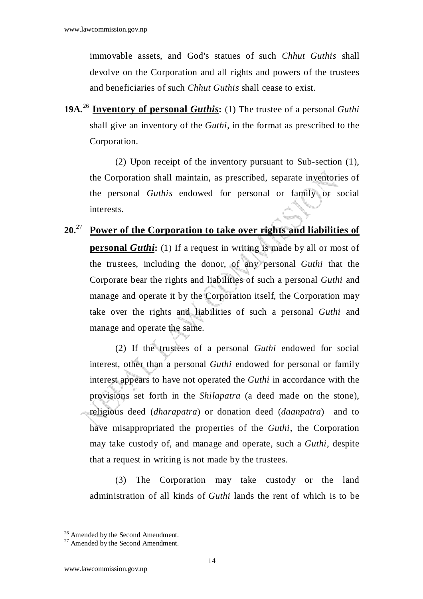immovable assets, and God's statues of such *Chhut Guthis* shall devolve on the Corporation and all rights and powers of the trustees and beneficiaries of such *Chhut Guthis* shall cease to exist.

**19A.**<sup>26</sup> **Inventory of personal** *Guthis***:** (1) The trustee of a personal *Guthi* shall give an inventory of the *Guthi*, in the format as prescribed to the Corporation.

(2) Upon receipt of the inventory pursuant to Sub-section (1), the Corporation shall maintain, as prescribed, separate inventories of the personal *Guthis* endowed for personal or family or social interests.

# **20.**<sup>27</sup> **Power of the Corporation to take over rights and liabilities of personal** *Guthi*: (1) If a request in writing is made by all or most of the trustees, including the donor, of any personal *Guthi* that the Corporate bear the rights and liabilities of such a personal *Guthi* and manage and operate it by the Corporation itself, the Corporation may take over the rights and liabilities of such a personal *Guthi* and manage and operate the same.

(2) If the trustees of a personal *Guthi* endowed for social interest, other than a personal *Guthi* endowed for personal or family interest appears to have not operated the *Guthi* in accordance with the provisions set forth in the *Shilapatra* (a deed made on the stone), religious deed (*dharapatra*) or donation deed (*daanpatra*) and to have misappropriated the properties of the *Guthi*, the Corporation may take custody of, and manage and operate, such a *Guthi*, despite that a request in writing is not made by the trustees.

(3) The Corporation may take custody or the land administration of all kinds of *Guthi* lands the rent of which is to be

<sup>&</sup>lt;sup>26</sup> Amended by the Second Amendment.

<sup>&</sup>lt;sup>27</sup> Amended by the Second Amendment.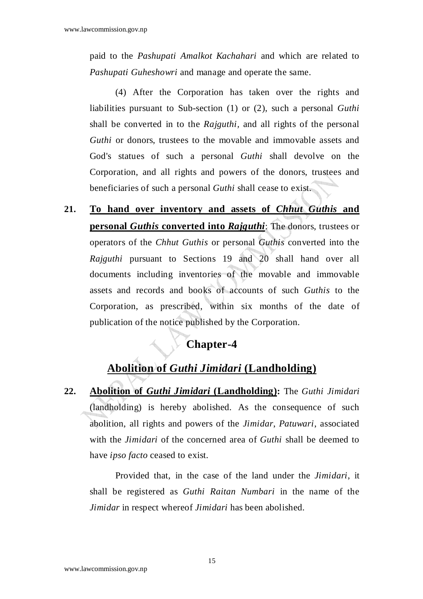paid to the *Pashupati Amalkot Kachahari* and which are related to *Pashupati Guheshowri* and manage and operate the same.

(4) After the Corporation has taken over the rights and liabilities pursuant to Sub-section (1) or (2), such a personal *Guthi* shall be converted in to the *Rajguthi,* and all rights of the personal *Guthi* or donors, trustees to the movable and immovable assets and God's statues of such a personal *Guthi* shall devolve on the Corporation, and all rights and powers of the donors, trustees and beneficiaries of such a personal *Guthi* shall cease to exist.

**21. To hand over inventory and assets of** *Chhut Guthis* **and personal** *Guthis* **converted into** *Rajguthi*: The donors, trustees or operators of the *Chhut Guthis* or personal *Guthis* converted into the *Rajguthi* pursuant to Sections 19 and 20 shall hand over all documents including inventories of the movable and immovable assets and records and books of accounts of such *Guthis* to the Corporation, as prescribed, within six months of the date of publication of the notice published by the Corporation.

## **Chapter-4**

## **Abolition of** *Guthi Jimidari* **(Landholding)**

**22. Abolition of** *Guthi Jimidari* **(Landholding):** The *Guthi Jimidari* (landholding) is hereby abolished. As the consequence of such abolition, all rights and powers of the *Jimidar*, *Patuwari*, associated with the *Jimidari* of the concerned area of *Guthi* shall be deemed to have *ipso facto* ceased to exist.

 Provided that, in the case of the land under the *Jimidari*, it shall be registered as *Guthi Raitan Numbari* in the name of the *Jimidar* in respect whereof *Jimidari* has been abolished.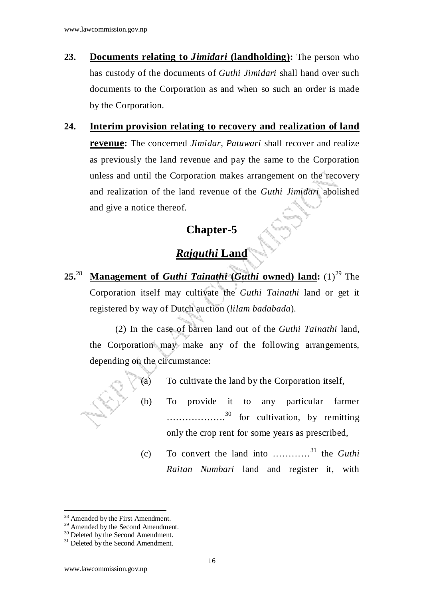- **23. Documents relating to** *Jimidari* **(landholding):** The person who has custody of the documents of *Guthi Jimidari* shall hand over such documents to the Corporation as and when so such an order is made by the Corporation.
- **24. Interim provision relating to recovery and realization of land revenue:** The concerned *Jimidar*, *Patuwari* shall recover and realize as previously the land revenue and pay the same to the Corporation unless and until the Corporation makes arrangement on the recovery and realization of the land revenue of the *Guthi Jimidari* abolished and give a notice thereof.

## **Chapter-5**

## *Rajguthi* **Land**

**25.**<sup>28</sup> **Management of** *Guthi Tainathi* **(***Guthi* **owned) land:** (1)<sup>29</sup> The Corporation itself may cultivate the *Guthi Tainathi* land or get it registered by way of Dutch auction (*lilam badabada*).

(2) In the case of barren land out of the *Guthi Tainathi* land, the Corporation may make any of the following arrangements, depending on the circumstance:



- (a) To cultivate the land by the Corporation itself,
- (b) To provide it to any particular farmer .................<sup>30</sup> for cultivation, by remitting only the crop rent for some years as prescribed,
- (c) To convert the land into …………<sup>31</sup> the *Guthi Raitan Numbari* land and register it, with

<sup>&</sup>lt;sup>28</sup> Amended by the First Amendment.

<sup>&</sup>lt;sup>29</sup> Amended by the Second Amendment.

<sup>&</sup>lt;sup>30</sup> Deleted by the Second Amendment.

 $31$  Deleted by the Second Amendment.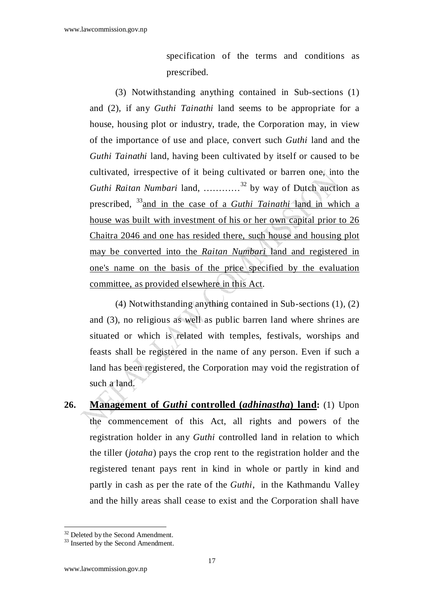specification of the terms and conditions as prescribed.

(3) Notwithstanding anything contained in Sub-sections (1) and (2), if any *Guthi Tainathi* land seems to be appropriate for a house, housing plot or industry, trade, the Corporation may, in view of the importance of use and place, convert such *Guthi* land and the *Guthi Tainathi* land, having been cultivated by itself or caused to be cultivated, irrespective of it being cultivated or barren one, into the *Guthi Raitan Numbari* land, …………<sup>32</sup> by way of Dutch auction as prescribed, <sup>33</sup>and in the case of a *Guthi Tainathi* land in which a house was built with investment of his or her own capital prior to 26 Chaitra 2046 and one has resided there, such house and housing plot may be converted into the *Raitan Numbari* land and registered in one's name on the basis of the price specified by the evaluation committee, as provided elsewhere in this Act.

(4) Notwithstanding anything contained in Sub-sections (1), (2) and (3), no religious as well as public barren land where shrines are situated or which is related with temples, festivals, worships and feasts shall be registered in the name of any person. Even if such a land has been registered, the Corporation may void the registration of such a land.

**26. Management of** *Guthi* **controlled (***adhinastha***) land:** (1) Upon the commencement of this Act, all rights and powers of the registration holder in any *Guthi* controlled land in relation to which the tiller (*jotaha*) pays the crop rent to the registration holder and the registered tenant pays rent in kind in whole or partly in kind and partly in cash as per the rate of the *Guthi*, in the Kathmandu Valley and the hilly areas shall cease to exist and the Corporation shall have

<sup>&</sup>lt;sup>32</sup> Deleted by the Second Amendment.

<sup>&</sup>lt;sup>33</sup> Inserted by the Second Amendment.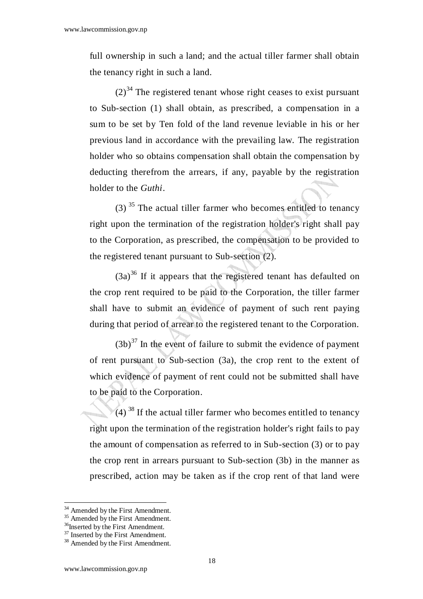full ownership in such a land; and the actual tiller farmer shall obtain the tenancy right in such a land.

 $(2)^{34}$  The registered tenant whose right ceases to exist pursuant to Sub-section (1) shall obtain, as prescribed, a compensation in a sum to be set by Ten fold of the land revenue leviable in his or her previous land in accordance with the prevailing law. The registration holder who so obtains compensation shall obtain the compensation by deducting therefrom the arrears, if any, payable by the registration holder to the *Guthi*.

(3)<sup>35</sup> The actual tiller farmer who becomes entitled to tenancy right upon the termination of the registration holder's right shall pay to the Corporation, as prescribed, the compensation to be provided to the registered tenant pursuant to Sub-section (2).

 $(3a)^{36}$  If it appears that the registered tenant has defaulted on the crop rent required to be paid to the Corporation, the tiller farmer shall have to submit an evidence of payment of such rent paying during that period of arrear to the registered tenant to the Corporation.

 $(3b)^{37}$  In the event of failure to submit the evidence of payment of rent pursuant to Sub-section (3a), the crop rent to the extent of which evidence of payment of rent could not be submitted shall have to be paid to the Corporation.

 $(4)$ <sup>38</sup> If the actual tiller farmer who becomes entitled to tenancy right upon the termination of the registration holder's right fails to pay the amount of compensation as referred to in Sub-section (3) or to pay the crop rent in arrears pursuant to Sub-section (3b) in the manner as prescribed, action may be taken as if the crop rent of that land were

<sup>&</sup>lt;sup>34</sup> Amended by the First Amendment.

 $35$  Amended by the First Amendment.

<sup>&</sup>lt;sup>36</sup>Inserted by the First Amendment.

<sup>&</sup>lt;sup>37</sup> Inserted by the First Amendment.

<sup>&</sup>lt;sup>38</sup> Amended by the First Amendment.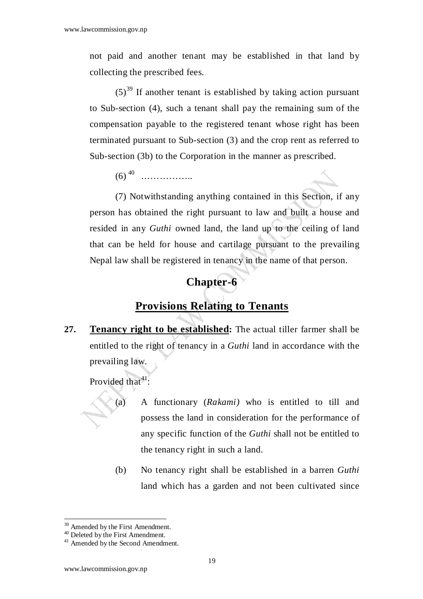not paid and another tenant may be established in that land by collecting the prescribed fees.

 $(5)^{39}$  If another tenant is established by taking action pursuant to Sub-section (4), such a tenant shall pay the remaining sum of the compensation payable to the registered tenant whose right has been terminated pursuant to Sub-section (3) and the crop rent as referred to Sub-section (3b) to the Corporation in the manner as prescribed.

(6)<sup>40</sup> ……………..

 (7) Notwithstanding anything contained in this Section, if any person has obtained the right pursuant to law and built a house and resided in any *Guthi* owned land, the land up to the ceiling of land that can be held for house and cartilage pursuant to the prevailing Nepal law shall be registered in tenancy in the name of that person.

#### **Chapter-6**

#### **Provisions Relating to Tenants**

**27. Tenancy right to be established:** The actual tiller farmer shall be entitled to the right of tenancy in a *Guthi* land in accordance with the prevailing law.

Provided that  $41$ :

- (a) A functionary (*Rakami)* who is entitled to till and possess the land in consideration for the performance of any specific function of the *Guthi* shall not be entitled to the tenancy right in such a land.
- (b) No tenancy right shall be established in a barren *Guthi* land which has a garden and not been cultivated since

 $\overline{a}$ <sup>39</sup> Amended by the First Amendment.

<sup>&</sup>lt;sup>40</sup> Deleted by the First Amendment.

<sup>&</sup>lt;sup>41</sup> Amended by the Second Amendment.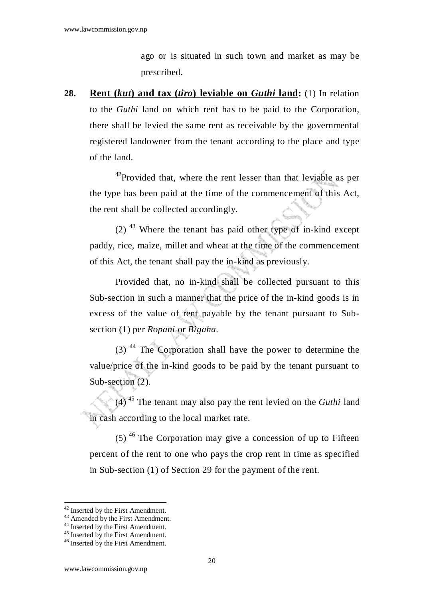ago or is situated in such town and market as may be prescribed.

**28. Rent (***kut***) and tax (***tiro***) leviable on** *Guthi* **land:** (1) In relation to the *Guthi* land on which rent has to be paid to the Corporation, there shall be levied the same rent as receivable by the governmental registered landowner from the tenant according to the place and type of the land.

<sup>42</sup>Provided that, where the rent lesser than that leviable as per the type has been paid at the time of the commencement of this Act, the rent shall be collected accordingly.

 $(2)$ <sup>43</sup> Where the tenant has paid other type of in-kind except paddy, rice, maize, millet and wheat at the time of the commencement of this Act, the tenant shall pay the in-kind as previously.

 Provided that, no in-kind shall be collected pursuant to this Sub-section in such a manner that the price of the in-kind goods is in excess of the value of rent payable by the tenant pursuant to Subsection (1) per *Ropani* or *Bigaha*.

(3)<sup>44</sup> The Corporation shall have the power to determine the value/price of the in-kind goods to be paid by the tenant pursuant to Sub-section (2).

 (4)<sup>45</sup> The tenant may also pay the rent levied on the *Guthi* land in cash according to the local market rate.

 $(5)$ <sup>46</sup> The Corporation may give a concession of up to Fifteen percent of the rent to one who pays the crop rent in time as specified in Sub-section (1) of Section 29 for the payment of the rent.

<sup>&</sup>lt;sup>42</sup> Inserted by the First Amendment.

<sup>&</sup>lt;sup>43</sup> Amended by the First Amendment.

<sup>&</sup>lt;sup>44</sup> Inserted by the First Amendment.

<sup>&</sup>lt;sup>45</sup> Inserted by the First Amendment.

<sup>46</sup> Inserted by the First Amendment.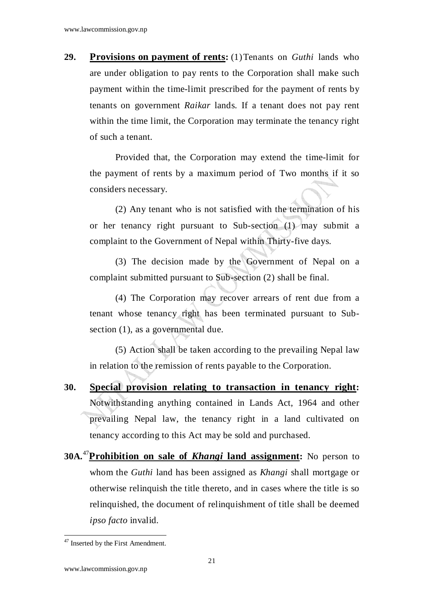**29. Provisions on payment of rents:** (1) Tenants on *Guthi* lands who are under obligation to pay rents to the Corporation shall make such payment within the time-limit prescribed for the payment of rents by tenants on government *Raikar* lands. If a tenant does not pay rent within the time limit, the Corporation may terminate the tenancy right of such a tenant.

Provided that, the Corporation may extend the time-limit for the payment of rents by a maximum period of Two months if it so considers necessary.

(2) Any tenant who is not satisfied with the termination of his or her tenancy right pursuant to Sub-section (1) may submit a complaint to the Government of Nepal within Thirty-five days.

 (3) The decision made by the Government of Nepal on a complaint submitted pursuant to Sub-section (2) shall be final.

 (4) The Corporation may recover arrears of rent due from a tenant whose tenancy right has been terminated pursuant to Subsection (1), as a governmental due.

 (5) Action shall be taken according to the prevailing Nepal law in relation to the remission of rents payable to the Corporation.

- **30. Special provision relating to transaction in tenancy right:**  Notwithstanding anything contained in Lands Act, 1964 and other prevailing Nepal law, the tenancy right in a land cultivated on tenancy according to this Act may be sold and purchased.
- **30A.**<sup>47</sup>**Prohibition on sale of** *Khangi* **land assignment:** No person to whom the *Guthi* land has been assigned as *Khangi* shall mortgage or otherwise relinquish the title thereto, and in cases where the title is so relinquished, the document of relinquishment of title shall be deemed *ipso facto* invalid.

<sup>&</sup>lt;sup>47</sup> Inserted by the First Amendment.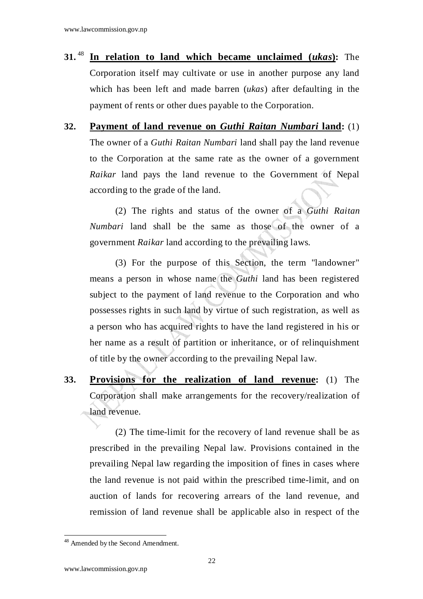- **31.**<sup>48</sup> **In relation to land which became unclaimed (***ukas***):** The Corporation itself may cultivate or use in another purpose any land which has been left and made barren (*ukas*) after defaulting in the payment of rents or other dues payable to the Corporation.
- **32. Payment of land revenue on** *Guthi Raitan Numbari* **land:** (1) The owner of a *Guthi Raitan Numbari* land shall pay the land revenue to the Corporation at the same rate as the owner of a government *Raikar* land pays the land revenue to the Government of Nepal according to the grade of the land.

(2) The rights and status of the owner of a *Guthi Raitan Numbari* land shall be the same as those of the owner of a government *Raikar* land according to the prevailing laws.

 (3) For the purpose of this Section, the term "landowner" means a person in whose name the *Guthi* land has been registered subject to the payment of land revenue to the Corporation and who possesses rights in such land by virtue of such registration, as well as a person who has acquired rights to have the land registered in his or her name as a result of partition or inheritance, or of relinquishment of title by the owner according to the prevailing Nepal law.

**33. Provisions for the realization of land revenue:** (1) The Corporation shall make arrangements for the recovery/realization of land revenue.

(2) The time-limit for the recovery of land revenue shall be as prescribed in the prevailing Nepal law. Provisions contained in the prevailing Nepal law regarding the imposition of fines in cases where the land revenue is not paid within the prescribed time-limit, and on auction of lands for recovering arrears of the land revenue, and remission of land revenue shall be applicable also in respect of the

 $\overline{a}$ <sup>48</sup> Amended by the Second Amendment.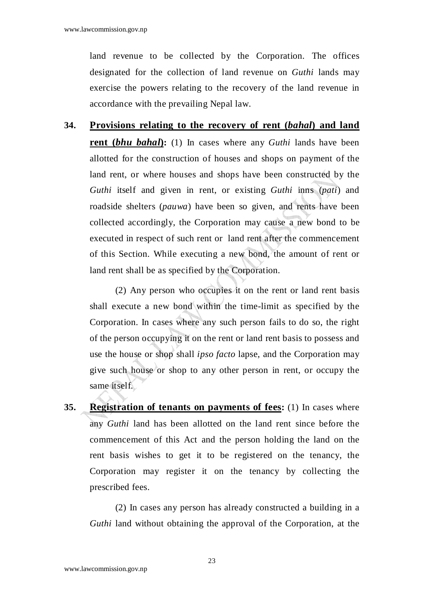land revenue to be collected by the Corporation. The offices designated for the collection of land revenue on *Guthi* lands may exercise the powers relating to the recovery of the land revenue in accordance with the prevailing Nepal law.

**34. Provisions relating to the recovery of rent (***bahal***) and land rent (***bhu bahal*): (1) In cases where any *Guthi* lands have been allotted for the construction of houses and shops on payment of the land rent, or where houses and shops have been constructed by the *Guthi* itself and given in rent, or existing *Guthi* inns (*pati*) and roadside shelters (*pauwa*) have been so given, and rents have been collected accordingly, the Corporation may cause a new bond to be executed in respect of such rent or land rent after the commencement of this Section. While executing a new bond, the amount of rent or land rent shall be as specified by the Corporation.

(2) Any person who occupies it on the rent or land rent basis shall execute a new bond within the time-limit as specified by the Corporation. In cases where any such person fails to do so, the right of the person occupying it on the rent or land rent basis to possess and use the house or shop shall *ipso facto* lapse, and the Corporation may give such house or shop to any other person in rent, or occupy the same itself.

**35. Registration of tenants on payments of fees:** (1) In cases where any *Guthi* land has been allotted on the land rent since before the commencement of this Act and the person holding the land on the rent basis wishes to get it to be registered on the tenancy, the Corporation may register it on the tenancy by collecting the prescribed fees.

(2) In cases any person has already constructed a building in a *Guthi* land without obtaining the approval of the Corporation, at the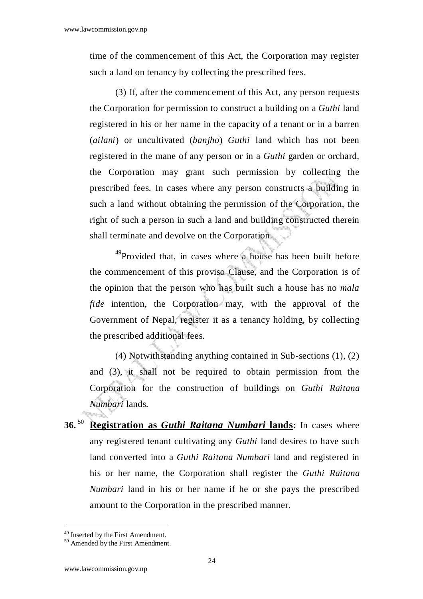time of the commencement of this Act, the Corporation may register such a land on tenancy by collecting the prescribed fees.

 (3) If, after the commencement of this Act, any person requests the Corporation for permission to construct a building on a *Guthi* land registered in his or her name in the capacity of a tenant or in a barren (*ailani*) or uncultivated (*banjho*) *Guthi* land which has not been registered in the mane of any person or in a *Guthi* garden or orchard, the Corporation may grant such permission by collecting the prescribed fees. In cases where any person constructs a building in such a land without obtaining the permission of the Corporation, the right of such a person in such a land and building constructed therein shall terminate and devolve on the Corporation.

<sup>49</sup>Provided that, in cases where a house has been built before the commencement of this proviso Clause, and the Corporation is of the opinion that the person who has built such a house has no *mala fide* intention, the Corporation may, with the approval of the Government of Nepal, register it as a tenancy holding, by collecting the prescribed additional fees.

 (4) Notwithstanding anything contained in Sub-sections (1), (2) and (3), it shall not be required to obtain permission from the Corporation for the construction of buildings on *Guthi Raitana Numbari* lands.

**36.**<sup>50</sup> **Registration as** *Guthi Raitana Numbari* **lands:** In cases where any registered tenant cultivating any *Guthi* land desires to have such land converted into a *Guthi Raitana Numbari* land and registered in his or her name, the Corporation shall register the *Guthi Raitana Numbari* land in his or her name if he or she pays the prescribed amount to the Corporation in the prescribed manner.

<sup>49</sup> Inserted by the First Amendment.

<sup>&</sup>lt;sup>50</sup> Amended by the First Amendment.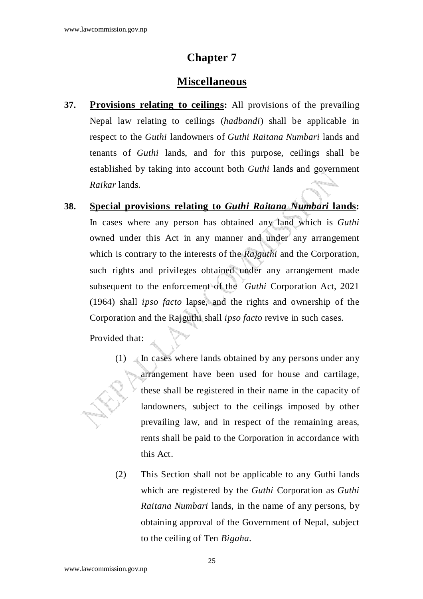#### **Chapter 7**

#### **Miscellaneous**

**37. Provisions relating to ceilings:** All provisions of the prevailing Nepal law relating to ceilings (*hadbandi*) shall be applicable in respect to the *Guthi* landowners of *Guthi Raitana Numbari* lands and tenants of *Guthi* lands, and for this purpose, ceilings shall be established by taking into account both *Guthi* lands and government *Raikar* lands.

**38. Special provisions relating to** *Guthi Raitana Numbari* **lands:** In cases where any person has obtained any land which is *Guthi*  owned under this Act in any manner and under any arrangement which is contrary to the interests of the *Rajguthi* and the Corporation, such rights and privileges obtained under any arrangement made subsequent to the enforcement of the *Guthi* Corporation Act, 2021 (1964) shall *ipso facto* lapse, and the rights and ownership of the Corporation and the Rajguthi shall *ipso facto* revive in such cases.

Provided that:

- (1)  $\angle$  In cases where lands obtained by any persons under any arrangement have been used for house and cartilage, these shall be registered in their name in the capacity of landowners, subject to the ceilings imposed by other prevailing law, and in respect of the remaining areas, rents shall be paid to the Corporation in accordance with this Act.
- (2) This Section shall not be applicable to any Guthi lands which are registered by the *Guthi* Corporation as *Guthi Raitana Numbari* lands, in the name of any persons, by obtaining approval of the Government of Nepal, subject to the ceiling of Ten *Bigaha*.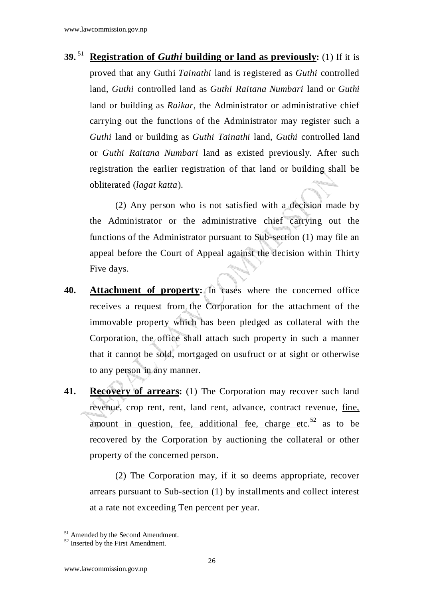**39.**<sup>51</sup> **Registration of** *Guthi* **building or land as previously:** (1) If it is proved that any Guthi *Tainathi* land is registered as *Guthi* controlled land, *Guthi* controlled land as *Guthi Raitana Numbari* land or *Guthi*  land or building as *Raikar*, the Administrator or administrative chief carrying out the functions of the Administrator may register such a *Guthi* land or building as *Guthi Tainathi* land, *Guthi* controlled land or *Guthi Raitana Numbari* land as existed previously. After such registration the earlier registration of that land or building shall be obliterated (*lagat katta*).

(2) Any person who is not satisfied with a decision made by the Administrator or the administrative chief carrying out the functions of the Administrator pursuant to Sub-section (1) may file an appeal before the Court of Appeal against the decision within Thirty Five days.

- **40. Attachment of property:** In cases where the concerned office receives a request from the Corporation for the attachment of the immovable property which has been pledged as collateral with the Corporation, the office shall attach such property in such a manner that it cannot be sold, mortgaged on usufruct or at sight or otherwise to any person in any manner.
- **41. Recovery of arrears:** (1) The Corporation may recover such land revenue, crop rent, rent, land rent, advance, contract revenue, fine, amount in question, fee, additional fee, charge etc.<sup>52</sup> as to be recovered by the Corporation by auctioning the collateral or other property of the concerned person.

(2) The Corporation may, if it so deems appropriate, recover arrears pursuant to Sub-section (1) by installments and collect interest at a rate not exceeding Ten percent per year.

<sup>51</sup> Amended by the Second Amendment.

<sup>&</sup>lt;sup>52</sup> Inserted by the First Amendment.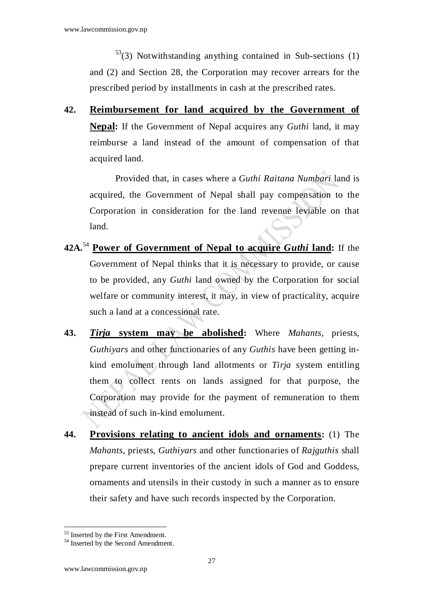$53$ (3) Notwithstanding anything contained in Sub-sections (1) and (2) and Section 28, the Corporation may recover arrears for the prescribed period by installments in cash at the prescribed rates.

**42. Reimbursement for land acquired by the Government of Nepal:** If the Government of Nepal acquires any *Guthi* land, it may reimburse a land instead of the amount of compensation of that acquired land.

Provided that, in cases where a *Guthi Raitana Numbari* land is acquired, the Government of Nepal shall pay compensation to the Corporation in consideration for the land revenue leviable on that land.

- **42A.**<sup>54</sup> **Power of Government of Nepal to acquire** *Guthi* **land:** If the Government of Nepal thinks that it is necessary to provide, or cause to be provided, any *Guthi* land owned by the Corporation for social welfare or community interest, it may, in view of practicality, acquire such a land at a concessional rate.
- **43.** *Tirja* **system may be abolished:** Where *Mahants,* priests, *Guthiyars* and other functionaries of any *Guthis* have been getting inkind emolument through land allotments or *Tirja* system entitling them to collect rents on lands assigned for that purpose, the Corporation may provide for the payment of remuneration to them instead of such in-kind emolument.
- **44. Provisions relating to ancient idols and ornaments:** (1) The *Mahants*, priests, *Guthiyars* and other functionaries of *Rajguthis* shall prepare current inventories of the ancient idols of God and Goddess, ornaments and utensils in their custody in such a manner as to ensure their safety and have such records inspected by the Corporation.

<sup>&</sup>lt;sup>53</sup> Inserted by the First Amendment.

<sup>&</sup>lt;sup>54</sup> Inserted by the Second Amendment.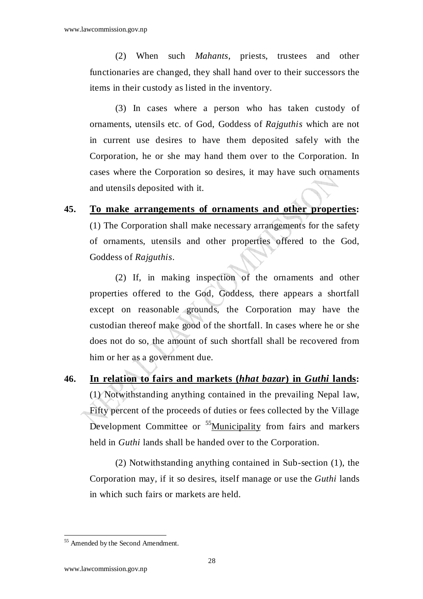(2) When such *Mahants*, priests, trustees and other functionaries are changed, they shall hand over to their successors the items in their custody as listed in the inventory.

 (3) In cases where a person who has taken custody of ornaments, utensils etc. of God, Goddess of *Rajguthis* which are not in current use desires to have them deposited safely with the Corporation, he or she may hand them over to the Corporation. In cases where the Corporation so desires, it may have such ornaments and utensils deposited with it.

#### **45. To make arrangements of ornaments and other properties:**

(1) The Corporation shall make necessary arrangements for the safety of ornaments, utensils and other properties offered to the God, Goddess of *Rajguthis*.

(2) If, in making inspection of the ornaments and other properties offered to the God, Goddess, there appears a shortfall except on reasonable grounds, the Corporation may have the custodian thereof make good of the shortfall. In cases where he or she does not do so, the amount of such shortfall shall be recovered from him or her as a government due.

**46. In relation to fairs and markets (***hhat bazar***) in** *Guthi* **lands:** (1) Notwithstanding anything contained in the prevailing Nepal law, Fifty percent of the proceeds of duties or fees collected by the Village Development Committee or <sup>55</sup>Municipality from fairs and markers held in *Guthi* lands shall be handed over to the Corporation.

(2) Notwithstanding anything contained in Sub-section (1), the Corporation may, if it so desires, itself manage or use the *Guthi* lands in which such fairs or markets are held.

<sup>55</sup> Amended by the Second Amendment.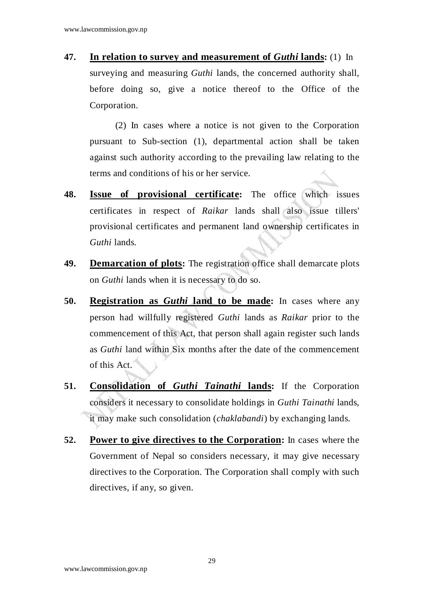**47. In relation to survey and measurement of** *Guthi* **lands:** (1) In surveying and measuring *Guthi* lands, the concerned authority shall, before doing so, give a notice thereof to the Office of the Corporation.

(2) In cases where a notice is not given to the Corporation pursuant to Sub-section (1), departmental action shall be taken against such authority according to the prevailing law relating to the terms and conditions of his or her service.

- **48. Issue of provisional certificate:** The office which issues certificates in respect of *Raikar* lands shall also issue tillers' provisional certificates and permanent land ownership certificates in *Guthi* lands.
- **49. Demarcation of plots:** The registration office shall demarcate plots on *Guthi* lands when it is necessary to do so.
- **50. Registration as** *Guthi* **land to be made:** In cases where any person had willfully registered *Guthi* lands as *Raikar* prior to the commencement of this Act, that person shall again register such lands as *Guthi* land within Six months after the date of the commencement of this Act.
- **51. Consolidation of** *Guthi Tainathi* **lands:** If the Corporation considers it necessary to consolidate holdings in *Guthi Tainathi* lands, it may make such consolidation (*chaklabandi*) by exchanging lands.
- **52. Power to give directives to the Corporation:** In cases where the Government of Nepal so considers necessary, it may give necessary directives to the Corporation. The Corporation shall comply with such directives, if any, so given.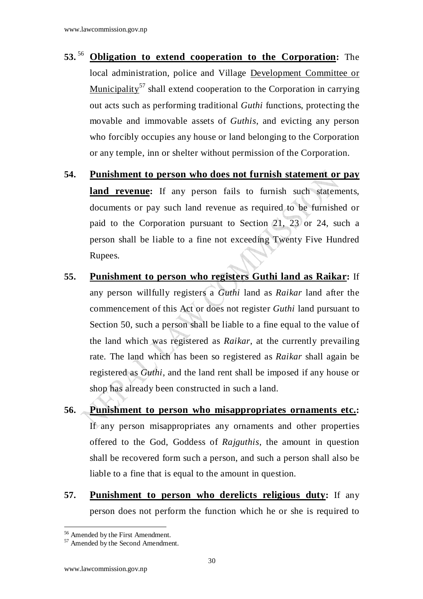- **53.**<sup>56</sup> **Obligation to extend cooperation to the Corporation:** The local administration, police and Village Development Committee or Municipality<sup>57</sup> shall extend cooperation to the Corporation in carrying out acts such as performing traditional *Guthi* functions, protecting the movable and immovable assets of *Guthis*, and evicting any person who forcibly occupies any house or land belonging to the Corporation or any temple, inn or shelter without permission of the Corporation.
- **54. Punishment to person who does not furnish statement or pay**  land revenue: If any person fails to furnish such statements, documents or pay such land revenue as required to be furnished or paid to the Corporation pursuant to Section 21, 23 or 24, such a person shall be liable to a fine not exceeding Twenty Five Hundred Rupees.
- **55. Punishment to person who registers Guthi land as Raikar:** If any person willfully registers a *Guthi* land as *Raikar* land after the commencement of this Act or does not register *Guthi* land pursuant to Section 50, such a person shall be liable to a fine equal to the value of the land which was registered as *Raikar*, at the currently prevailing rate. The land which has been so registered as *Raikar* shall again be registered as *Guthi*, and the land rent shall be imposed if any house or shop has already been constructed in such a land.
- **56. Punishment to person who misappropriates ornaments etc.:**  If any person misappropriates any ornaments and other properties offered to the God, Goddess of *Rajguthis*, the amount in question shall be recovered form such a person, and such a person shall also be liable to a fine that is equal to the amount in question.
- **57. Punishment to person who derelicts religious duty:** If any person does not perform the function which he or she is required to

<sup>56</sup> Amended by the First Amendment.

<sup>57</sup> Amended by the Second Amendment.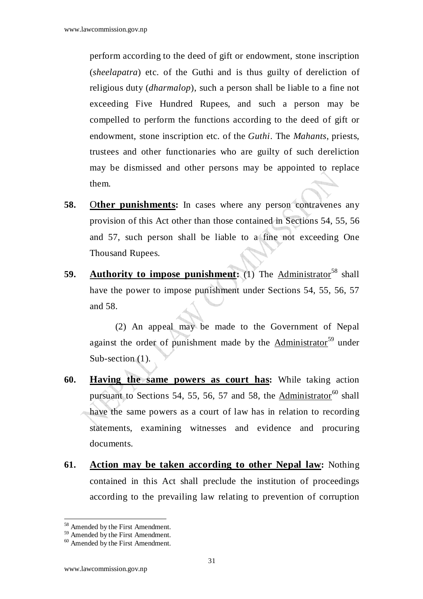perform according to the deed of gift or endowment, stone inscription (*sheelapatra*) etc. of the Guthi and is thus guilty of dereliction of religious duty (*dharmalop*), such a person shall be liable to a fine not exceeding Five Hundred Rupees, and such a person may be compelled to perform the functions according to the deed of gift or endowment, stone inscription etc. of the *Guthi*. The *Mahants*, priests, trustees and other functionaries who are guilty of such dereliction may be dismissed and other persons may be appointed to replace them.

- **58.** Other punishments: In cases where any person contravenes any provision of this Act other than those contained in Sections 54, 55, 56 and 57, such person shall be liable to a fine not exceeding One Thousand Rupees.
- **59. Authority to impose punishment:** (1) The Administrator<sup>58</sup> shall have the power to impose punishment under Sections 54, 55, 56, 57 and 58.

(2) An appeal may be made to the Government of Nepal against the order of punishment made by the Administrator<sup>59</sup> under Sub-section (1).

- **60. Having the same powers as court has:** While taking action pursuant to Sections 54, 55, 56, 57 and 58, the Administrator<sup>60</sup> shall have the same powers as a court of law has in relation to recording statements, examining witnesses and evidence and procuring documents.
- **61. Action may be taken according to other Nepal law:** Nothing contained in this Act shall preclude the institution of proceedings according to the prevailing law relating to prevention of corruption

 $\overline{a}$ <sup>58</sup> Amended by the First Amendment.

<sup>59</sup> Amended by the First Amendment.

<sup>&</sup>lt;sup>60</sup> Amended by the First Amendment.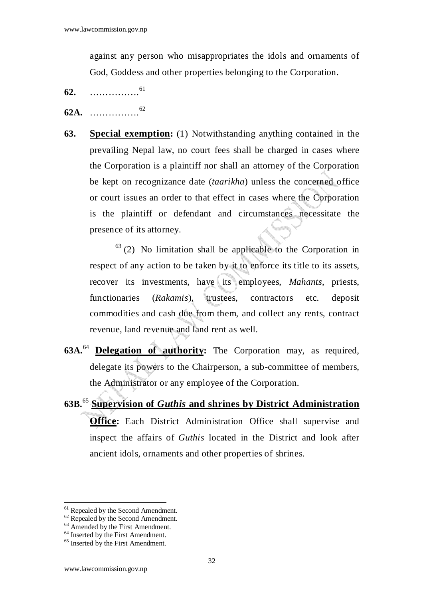against any person who misappropriates the idols and ornaments of God, Goddess and other properties belonging to the Corporation.

- **62.** ……………. 61
- **62A.** ……………. 62
- **63. Special exemption:** (1) Notwithstanding anything contained in the prevailing Nepal law, no court fees shall be charged in cases where the Corporation is a plaintiff nor shall an attorney of the Corporation be kept on recognizance date (*taarikha*) unless the concerned office or court issues an order to that effect in cases where the Corporation is the plaintiff or defendant and circumstances necessitate the presence of its attorney.

 $63$  (2) No limitation shall be applicable to the Corporation in respect of any action to be taken by it to enforce its title to its assets, recover its investments, have its employees, *Mahants*, priests, functionaries (*Rakamis*), trustees, contractors etc. deposit commodities and cash due from them, and collect any rents, contract revenue, land revenue and land rent as well.

- **63A.**<sup>64</sup> **Delegation of authority:** The Corporation may, as required, delegate its powers to the Chairperson, a sub-committee of members, the Administrator or any employee of the Corporation.
- **63B.**<sup>65</sup> **Supervision of** *Guthis* **and shrines by District Administration Office:** Each District Administration Office shall supervise and inspect the affairs of *Guthis* located in the District and look after ancient idols, ornaments and other properties of shrines.

<sup>61</sup> Repealed by the Second Amendment.

 $62$  Repealed by the Second Amendment.

 $63$  Amended by the First Amendment.

<sup>&</sup>lt;sup>64</sup> Inserted by the First Amendment.

<sup>&</sup>lt;sup>65</sup> Inserted by the First Amendment.